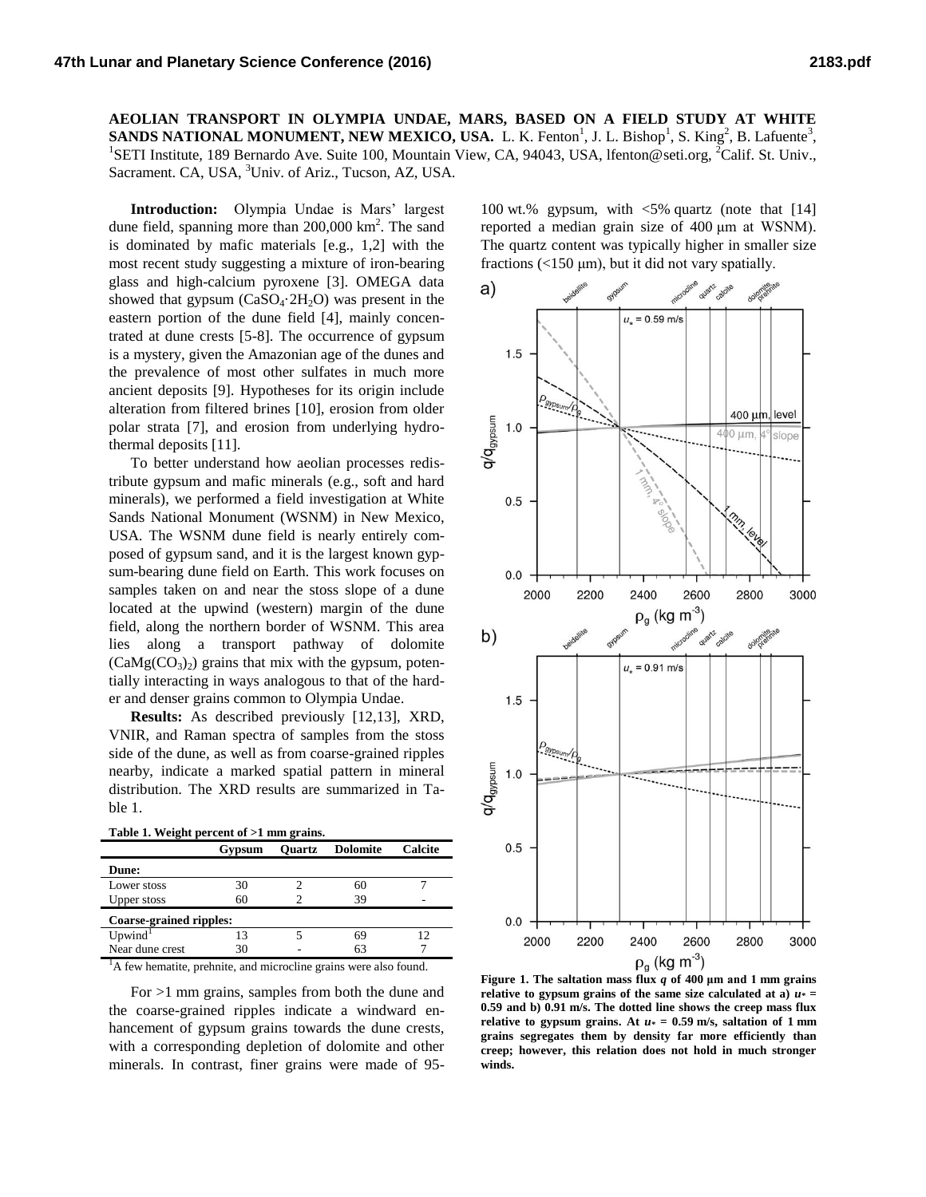**AEOLIAN TRANSPORT IN OLYMPIA UNDAE, MARS, BASED ON A FIELD STUDY AT WHITE SANDS NATIONAL MONUMENT, NEW MEXICO, USA.** L. K. Fenton<sup>1</sup>, J. L. Bishop<sup>1</sup>, S. King<sup>2</sup>, B. Lafuente<sup>3</sup>, <sup>1</sup>SETI Institute, 189 Bernardo Ave. Suite 100, Mountain View, CA, 94043, USA, lfenton@seti.org, <sup>2</sup>Calif. St. Univ., Sacrament. CA, USA, <sup>3</sup>Univ. of Ariz., Tucson, AZ, USA.

**Introduction:** Olympia Undae is Mars' largest dune field, spanning more than  $200,000 \text{ km}^2$ . The sand is dominated by mafic materials [e.g., 1,2] with the most recent study suggesting a mixture of iron-bearing glass and high-calcium pyroxene [3]. OMEGA data showed that gypsum  $(CaSO<sub>4</sub>·2H<sub>2</sub>O)$  was present in the eastern portion of the dune field [4], mainly concentrated at dune crests [5-8]. The occurrence of gypsum is a mystery, given the Amazonian age of the dunes and the prevalence of most other sulfates in much more ancient deposits [9]. Hypotheses for its origin include alteration from filtered brines [10], erosion from older polar strata [7], and erosion from underlying hydrothermal deposits [11].

To better understand how aeolian processes redistribute gypsum and mafic minerals (e.g., soft and hard minerals), we performed a field investigation at White Sands National Monument (WSNM) in New Mexico, USA. The WSNM dune field is nearly entirely composed of gypsum sand, and it is the largest known gypsum-bearing dune field on Earth. This work focuses on samples taken on and near the stoss slope of a dune located at the upwind (western) margin of the dune field, along the northern border of WSNM. This area lies along a transport pathway of dolomite  $(CaMg(CO<sub>3</sub>)<sub>2</sub>)$  grains that mix with the gypsum, potentially interacting in ways analogous to that of the harder and denser grains common to Olympia Undae.

**Results:** As described previously [12,13], XRD, VNIR, and Raman spectra of samples from the stoss side of the dune, as well as from coarse-grained ripples nearby, indicate a marked spatial pattern in mineral distribution. The XRD results are summarized in Table 1.

| Table 1. Weight percent of >1 mm grains. |        |               |                 |         |
|------------------------------------------|--------|---------------|-----------------|---------|
|                                          | Gypsum | <b>Ouartz</b> | <b>Dolomite</b> | Calcite |
| <b>Dune:</b>                             |        |               |                 |         |
| Lower stoss                              | 30     |               | 60              |         |
| <b>Upper stoss</b>                       | 60     |               | 39              |         |
| <b>Coarse-grained ripples:</b>           |        |               |                 |         |
| Upwind <sup>1</sup>                      |        |               |                 |         |

**Table 1. Weight percent of >1 mm grains.**

<sup>1</sup>A few hematite, prehnite, and microcline grains were also found.

Near dune crest 30 - 63

For >1 mm grains, samples from both the dune and the coarse-grained ripples indicate a windward enhancement of gypsum grains towards the dune crests, with a corresponding depletion of dolomite and other minerals. In contrast, finer grains were made of 95-

100 wt.% gypsum, with <5% quartz (note that [14] reported a median grain size of 400 μm at WSNM). The quartz content was typically higher in smaller size fractions  $\left($  <150  $\mu$ m), but it did not vary spatially.



**Figure 1. The saltation mass flux** *q* **of 400 μm and 1 mm grains**  relative to gypsum grains of the same size calculated at a)  $u* =$ **0.59 and b) 0.91 m/s. The dotted line shows the creep mass flux relative to gypsum grains. At** *u\** **= 0.59 m/s, saltation of 1 mm grains segregates them by density far more efficiently than creep; however, this relation does not hold in much stronger winds.**